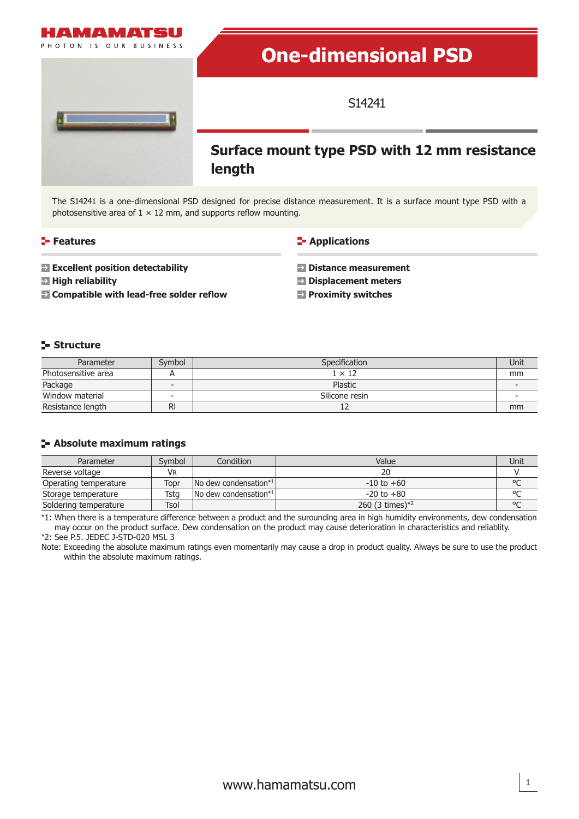

The S14241 is a one-dimensional PSD designed for precise distance measurement. It is a surface mount type PSD with a photosensitive area of  $1 \times 12$  mm, and supports reflow mounting.

### **Features**

### **E-** Applications

- **Excellent position detectability**
- **High reliability**
- **Compatible with lead-free solder reflow**

### **Distance measurement**

- **Displacement meters**
- **Proximity switches**

### **Structure**

| Parameter           | Symbol                   | Specification  |    |
|---------------------|--------------------------|----------------|----|
| Photosensitive area |                          | $1 \times 12$  | mm |
| Package             |                          | Plastic        |    |
| Window material     | $\overline{\phantom{0}}$ | Silicone resin |    |
| Resistance length   | RI                       |                | mm |

### **Absolute maximum ratings**

| Parameter             | Symbol | Condition                     | Value               | Unit    |
|-----------------------|--------|-------------------------------|---------------------|---------|
| Reverse voltage       | VR     |                               | 20                  |         |
| Operating temperature | Topr   | $\vert$ No dew condensation*1 | $-10$ to $+60$      | $\circ$ |
| Storage temperature   | Tsta   | $\sqrt{N}$ dew condensation*1 | $-20$ to $+80$      |         |
| Soldering temperature | Tsol   |                               | 260 (3 times) $*^2$ | $\circ$ |

\*1: When there is a temperature difference between a product and the surounding area in high humidity environments, dew condensation may occur on the product surface. Dew condensation on the product may cause deterioration in characteristics and reliablity.

\*2: See P.5. JEDEC J-STD-020 MSL 3

Note: Exceeding the absolute maximum ratings even momentarily may cause a drop in product quality. Always be sure to use the product within the absolute maximum ratings.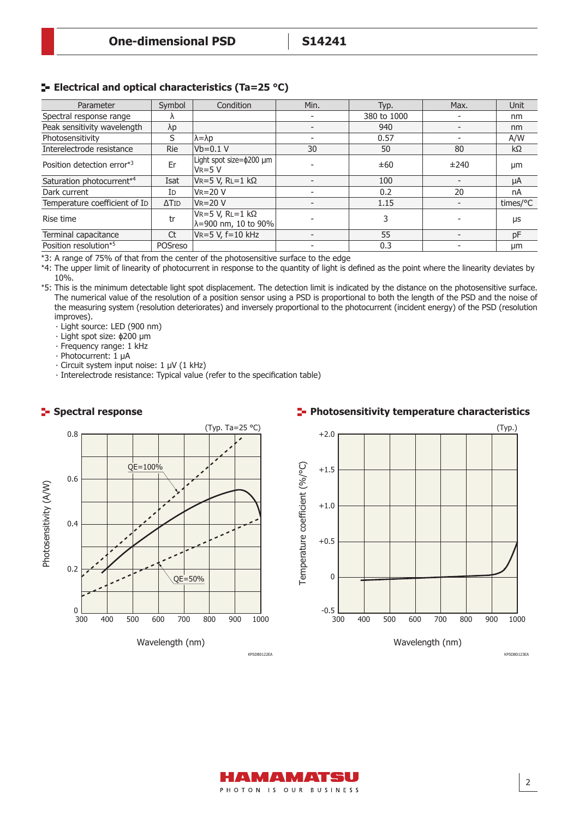## **ELECTRICAL AND OPTICAL CHARACTERIST EXAMPLE THE ELECTRICITY CONCLUSION FOR ALL PROPERTY CONCLUSION FOR A LIGAC**

| Parameter                     | Symbol                   | Condition                                                      | Min. | Typ.        | Max. | <b>Unit</b> |
|-------------------------------|--------------------------|----------------------------------------------------------------|------|-------------|------|-------------|
| Spectral response range       | Λ                        |                                                                |      | 380 to 1000 |      | nm          |
| Peak sensitivity wavelength   | $\lambda p$              |                                                                |      | 940         |      | nm          |
| Photosensitivity              | S                        | $\lambda = \lambda p$                                          |      | 0.57        |      | A/W         |
| Interelectrode resistance     | <b>Rie</b>               | $Vb=0.1 V$                                                     | 30   | 50          | 80   | kΩ          |
| Position detection error*3    | Er                       | Light spot size=\$200 µm<br>$V_R = 5 V$                        |      | ±60         | ±240 | μm          |
| Saturation photocurrent*4     | Isat                     | $V = 5 V, R = 1 k\Omega$                                       |      | 100         |      | μA          |
| Dark current                  | Id                       | $V_R = 20 V$                                                   |      | 0.2         | 20   | nA          |
| Temperature coefficient of ID | $\Delta$ T <sub>ID</sub> | $V = 20 V$                                                     |      | 1.15        |      | times/°C    |
| Rise time                     | tr                       | $V_R = 5 V$ , $R = 1 k\Omega$<br>$\lambda = 900$ nm, 10 to 90% |      | 3           |      | μs          |
| Terminal capacitance          | Ct                       | $VR = 5 V, f = 10 kHz$                                         |      | 55          |      | pF          |
| Position resolution*5         | POSreso                  |                                                                |      | 0.3         |      | μm          |

\*3: A range of 75% of that from the center of the photosensitive surface to the edge

\*4: The upper limit of linearity of photocurrent in response to the quantity of light is defined as the point where the linearity deviates by 10%.

Spectral response The numerical value of the resolution of a position sensor using a PSD is proportional to both the length of the PSD and the noise of \*5: This is the minimum detectable light spot displacement. The detection limit is indicated by the distance on the photosensitive surface. the measuring system (resolution deteriorates) and inversely proportional to the photocurrent (incident energy) of the PSD (resolution improves).

‧ Light source: LED (900 nm)

‧ Light spot size: ϕ200 μm

‧ Frequency range: 1 kHz

‧ Photocurrent: 1 μA

‧ Circuit system input noise: 1 μV (1 kHz)

‧ Interelectrode resistance: Typical value (refer to the specification table)



### **Photosensitivity temperature characteristics**



2

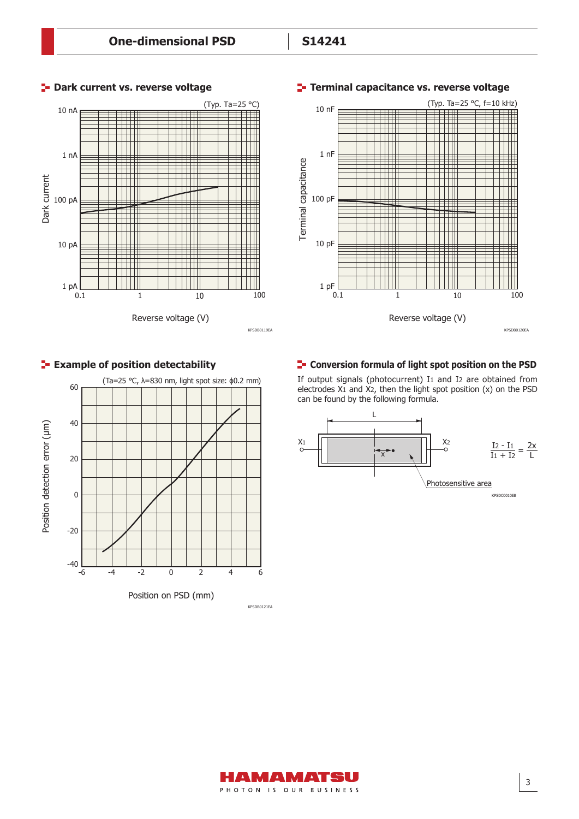

### **P** Dark current vs. reverse voltage



### **Terminal capacitance vs. reverse voltage**





### **Example of position detectability Conversion formula of light spot position on the PSD**

If output signals (photocurrent) I1 and I2 are obtained from electrodes X1 and X2, then the light spot position (x) on the PSD can be found by the following formula.



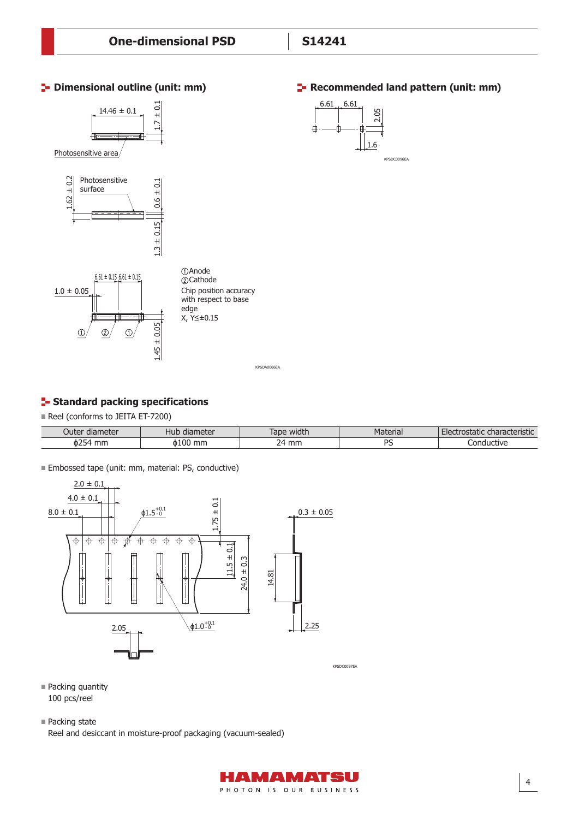

KPSDA0066EA

# **E** Standard packing specifications

Reel (conforms to JEITA ET-7200)

| Outer<br>diameter       | diameter<br>.<br>⊣uɒ | . .<br>lape<br>widti. | $-$ nnin.<br><sup>v</sup> idlelidi | .<br>:haracteristic<br>satdulle f |
|-------------------------|----------------------|-----------------------|------------------------------------|-----------------------------------|
| $\sim$ $-$<br>mn<br>0Z. | . 100<br>mm<br>ጠ I   | $\sim$<br>mm<br>ıл    | DC<br>ٮ                            | ductive                           |

Embossed tape (unit: mm, material: PS, conductive)



**Packing quantity** 100 pcs/reel

■ Packing state

Reel and desiccant in moisture-proof packaging (vacuum-sealed)



4